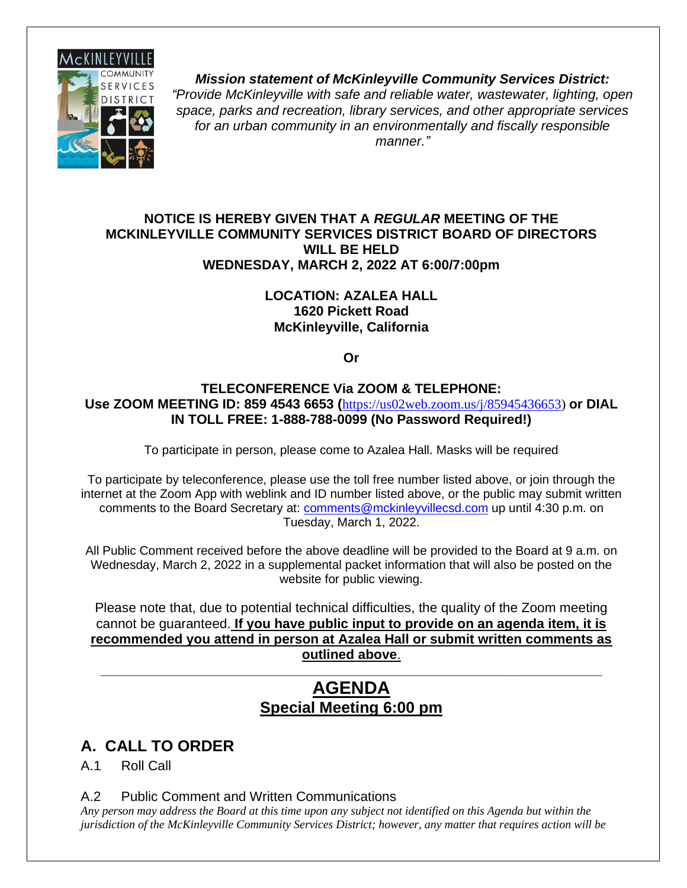

*Mission statement of McKinleyville Community Services District: "Provide McKinleyville with safe and reliable water, wastewater, lighting, open space, parks and recreation, library services, and other appropriate services for an urban community in an environmentally and fiscally responsible manner."*

#### **NOTICE IS HEREBY GIVEN THAT A** *REGULAR* **MEETING OF THE MCKINLEYVILLE COMMUNITY SERVICES DISTRICT BOARD OF DIRECTORS WILL BE HELD WEDNESDAY, MARCH 2, 2022 AT 6:00/7:00pm**

#### **LOCATION: AZALEA HALL 1620 Pickett Road McKinleyville, California**

**Or**

#### **TELECONFERENCE Via ZOOM & TELEPHONE: Use ZOOM MEETING ID: 859 4543 6653 (**[https://us02web.zoom.us/j/85945436653\)](https://us02web.zoom.us/j/85945436653) **or DIAL IN TOLL FREE: 1-888-788-0099 (No Password Required!)**

To participate in person, please come to Azalea Hall. Masks will be required

To participate by teleconference, please use the toll free number listed above, or join through the internet at the Zoom App with weblink and ID number listed above, or the public may submit written comments to the Board Secretary at: [comments@mckinleyvillecsd.com](mailto:contacts@mckinleyvillecsd.com) up until 4:30 p.m. on Tuesday, March 1, 2022.

All Public Comment received before the above deadline will be provided to the Board at 9 a.m. on Wednesday, March 2, 2022 in a supplemental packet information that will also be posted on the website for public viewing.

Please note that, due to potential technical difficulties, the quality of the Zoom meeting cannot be guaranteed. **If you have public input to provide on an agenda item, it is recommended you attend in person at Azalea Hall or submit written comments as outlined above**.

# **AGENDA Special Meeting 6:00 pm**

**\_\_\_\_\_\_\_\_\_\_\_\_\_\_\_\_\_\_\_\_\_\_\_\_\_\_\_\_\_\_\_\_\_\_\_\_\_\_\_\_\_\_\_\_\_\_\_\_\_\_\_\_\_\_\_\_\_\_\_\_\_\_\_\_\_\_\_**

# **A. CALL TO ORDER**

A.1 Roll Call

A.2 Public Comment and Written Communications

*Any person may address the Board at this time upon any subject not identified on this Agenda but within the jurisdiction of the McKinleyville Community Services District; however, any matter that requires action will be*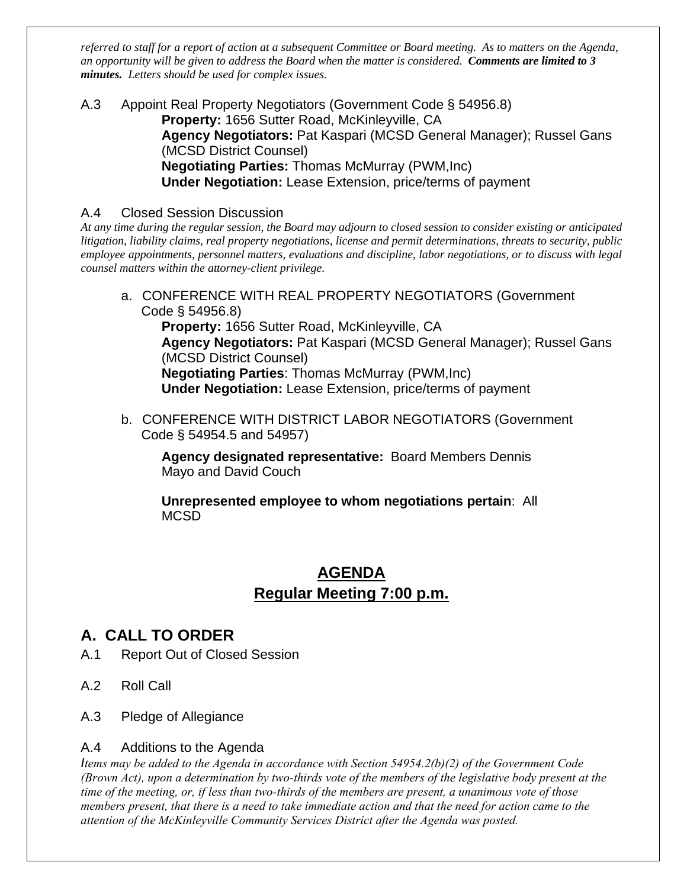*referred to staff for a report of action at a subsequent Committee or Board meeting. As to matters on the Agenda, an opportunity will be given to address the Board when the matter is considered. Comments are limited to 3 minutes. Letters should be used for complex issues.*

A.3 Appoint Real Property Negotiators (Government Code § 54956.8) **Property:** 1656 Sutter Road, McKinleyville, CA **Agency Negotiators:** Pat Kaspari (MCSD General Manager); Russel Gans (MCSD District Counsel) **Negotiating Parties:** Thomas McMurray (PWM,Inc) **Under Negotiation:** Lease Extension, price/terms of payment

### A.4 Closed Session Discussion

*At any time during the regular session, the Board may adjourn to closed session to consider existing or anticipated litigation, liability claims, real property negotiations, license and permit determinations, threats to security, public employee appointments, personnel matters, evaluations and discipline, labor negotiations, or to discuss with legal counsel matters within the attorney-client privilege.*

a. CONFERENCE WITH REAL PROPERTY NEGOTIATORS (Government Code § 54956.8)

**Property:** 1656 Sutter Road, McKinleyville, CA **Agency Negotiators:** Pat Kaspari (MCSD General Manager); Russel Gans (MCSD District Counsel) **Negotiating Parties**: Thomas McMurray (PWM,Inc) **Under Negotiation:** Lease Extension, price/terms of payment

b. CONFERENCE WITH DISTRICT LABOR NEGOTIATORS (Government Code § 54954.5 and 54957)

**Agency designated representative:** Board Members Dennis Mayo and David Couch

**Unrepresented employee to whom negotiations pertain**: All MCSD

## **AGENDA Regular Meeting 7:00 p.m.**

## **A. CALL TO ORDER**

- A.1 Report Out of Closed Session
- A.2 Roll Call
- A.3 Pledge of Allegiance

### A.4 Additions to the Agenda

*Items may be added to the Agenda in accordance with Section 54954.2(b)(2) of the Government Code (Brown Act), upon a determination by two-thirds vote of the members of the legislative body present at the time of the meeting, or, if less than two-thirds of the members are present, a unanimous vote of those members present, that there is a need to take immediate action and that the need for action came to the attention of the McKinleyville Community Services District after the Agenda was posted.*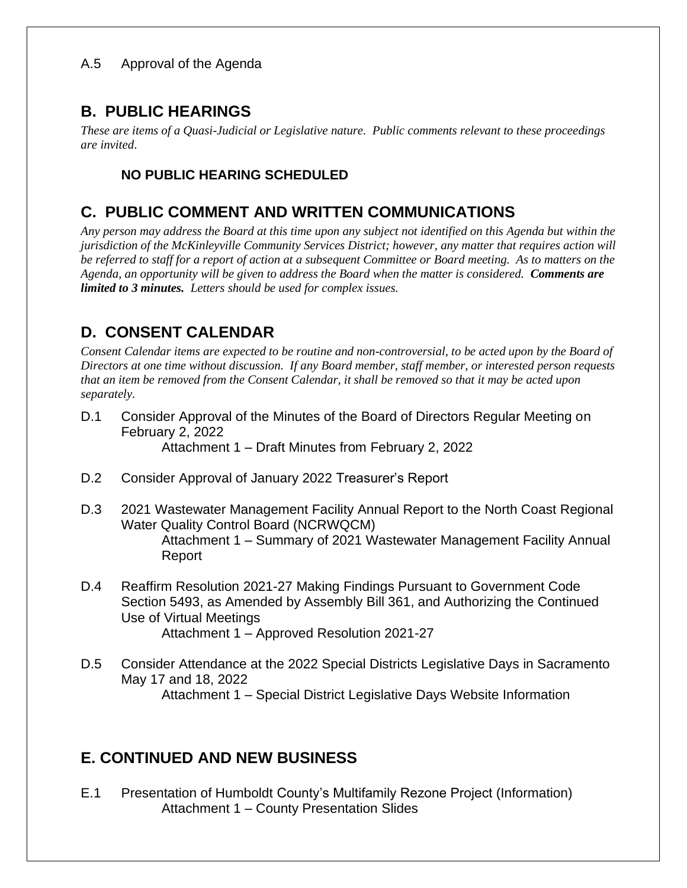## **B. PUBLIC HEARINGS**

*These are items of a Quasi-Judicial or Legislative nature. Public comments relevant to these proceedings are invited*.

## **NO PUBLIC HEARING SCHEDULED**

## **C. PUBLIC COMMENT AND WRITTEN COMMUNICATIONS**

*Any person may address the Board at this time upon any subject not identified on this Agenda but within the jurisdiction of the McKinleyville Community Services District; however, any matter that requires action will be referred to staff for a report of action at a subsequent Committee or Board meeting. As to matters on the Agenda, an opportunity will be given to address the Board when the matter is considered. Comments are limited to 3 minutes. Letters should be used for complex issues.*

# **D. CONSENT CALENDAR**

*Consent Calendar items are expected to be routine and non-controversial, to be acted upon by the Board of Directors at one time without discussion. If any Board member, staff member, or interested person requests that an item be removed from the Consent Calendar, it shall be removed so that it may be acted upon separately.*

- D.1 Consider Approval of the Minutes of the Board of Directors Regular Meeting on February 2, 2022 Attachment 1 – Draft Minutes from February 2, 2022
- D.2 Consider Approval of January 2022 Treasurer's Report
- D.3 2021 Wastewater Management Facility Annual Report to the North Coast Regional Water Quality Control Board (NCRWQCM) Attachment 1 – Summary of 2021 Wastewater Management Facility Annual Report
- D.4 Reaffirm Resolution 2021-27 Making Findings Pursuant to Government Code Section 5493, as Amended by Assembly Bill 361, and Authorizing the Continued Use of Virtual Meetings Attachment 1 – Approved Resolution 2021-27
- D.5 Consider Attendance at the 2022 Special Districts Legislative Days in Sacramento May 17 and 18, 2022 Attachment 1 – Special District Legislative Days Website Information

## **E. CONTINUED AND NEW BUSINESS**

E.1 Presentation of Humboldt County's Multifamily Rezone Project (Information) Attachment 1 – County Presentation Slides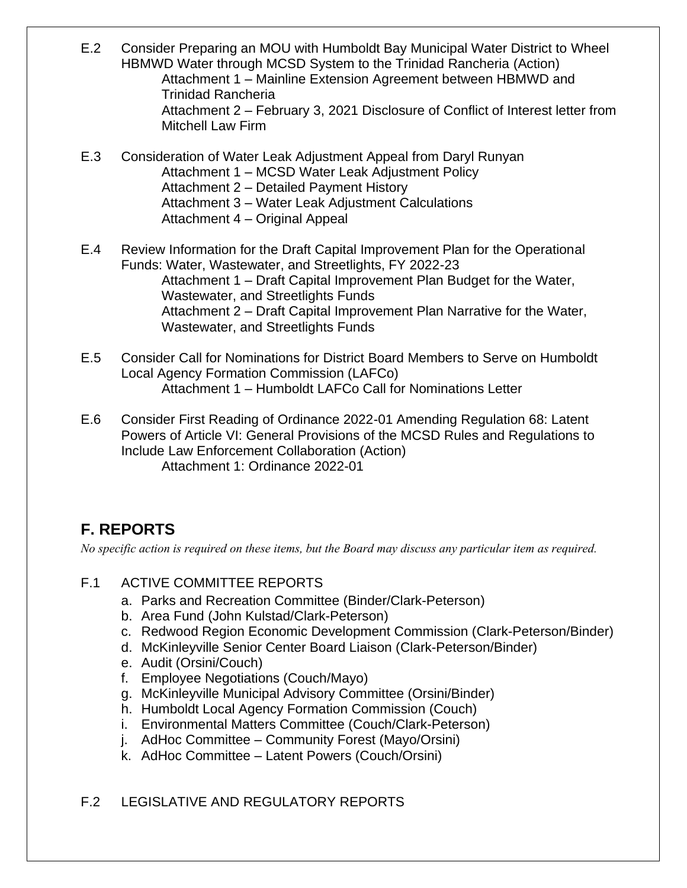- E.2 Consider Preparing an MOU with Humboldt Bay Municipal Water District to Wheel HBMWD Water through MCSD System to the Trinidad Rancheria (Action) Attachment 1 – Mainline Extension Agreement between HBMWD and Trinidad Rancheria Attachment 2 – February 3, 2021 Disclosure of Conflict of Interest letter from Mitchell Law Firm
- E.3 Consideration of Water Leak Adjustment Appeal from Daryl Runyan Attachment 1 – MCSD Water Leak Adjustment Policy Attachment 2 – Detailed Payment History Attachment 3 – Water Leak Adjustment Calculations Attachment 4 – Original Appeal
- E.4 Review Information for the Draft Capital Improvement Plan for the Operational Funds: Water, Wastewater, and Streetlights, FY 2022-23 Attachment 1 – Draft Capital Improvement Plan Budget for the Water, Wastewater, and Streetlights Funds Attachment 2 – Draft Capital Improvement Plan Narrative for the Water, Wastewater, and Streetlights Funds
- E.5 Consider Call for Nominations for District Board Members to Serve on Humboldt Local Agency Formation Commission (LAFCo) Attachment 1 – Humboldt LAFCo Call for Nominations Letter
- E.6 Consider First Reading of Ordinance 2022-01 Amending Regulation 68: Latent Powers of Article VI: General Provisions of the MCSD Rules and Regulations to Include Law Enforcement Collaboration (Action) Attachment 1: Ordinance 2022-01

# **F. REPORTS**

*No specific action is required on these items, but the Board may discuss any particular item as required.*

- F.1 ACTIVE COMMITTEE REPORTS
	- a. Parks and Recreation Committee (Binder/Clark-Peterson)
	- b. Area Fund (John Kulstad/Clark-Peterson)
	- c. Redwood Region Economic Development Commission (Clark-Peterson/Binder)
	- d. McKinleyville Senior Center Board Liaison (Clark-Peterson/Binder)
	- e. Audit (Orsini/Couch)
	- f. Employee Negotiations (Couch/Mayo)
	- g. McKinleyville Municipal Advisory Committee (Orsini/Binder)
	- h. Humboldt Local Agency Formation Commission (Couch)
	- i. Environmental Matters Committee (Couch/Clark-Peterson)
	- j. AdHoc Committee Community Forest (Mayo/Orsini)
	- k. AdHoc Committee Latent Powers (Couch/Orsini)

## F.2 LEGISLATIVE AND REGULATORY REPORTS